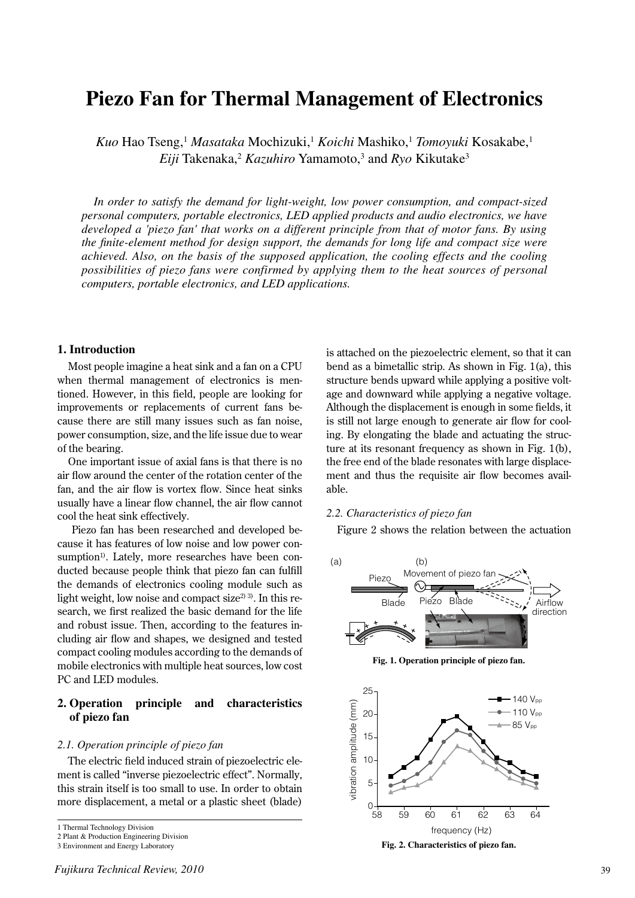# **Piezo Fan for Thermal Management of Electronics**

*Kuo* Hao Tseng,1 *Masataka* Mochizuki,1 *Koichi* Mashiko,1 *Tomoyuki* Kosakabe,1 Eiji Takenaka,<sup>2</sup> *Kazuhiro* Yamamoto,<sup>3</sup> and *Ryo* Kikutake<sup>3</sup>

*In order to satisfy the demand for light-weight, low power consumption, and compact-sized personal computers, portable electronics, LED applied products and audio electronics, we have developed a 'piezo fan' that works on a different principle from that of motor fans. By using the finite-element method for design support, the demands for long life and compact size were achieved. Also, on the basis of the supposed application, the cooling effects and the cooling possibilities of piezo fans were confirmed by applying them to the heat sources of personal computers, portable electronics, and LED applications.* 

## **1. Introduction**

Most people imagine a heat sink and a fan on a CPU when thermal management of electronics is mentioned. However, in this field, people are looking for improvements or replacements of current fans because there are still many issues such as fan noise, power consumption, size, and the life issue due to wear of the bearing.

One important issue of axial fans is that there is no air flow around the center of the rotation center of the fan, and the air flow is vortex flow. Since heat sinks usually have a linear flow channel, the air flow cannot cool the heat sink effectively.

 Piezo fan has been researched and developed because it has features of low noise and low power consumption<sup>1)</sup>. Lately, more researches have been conducted because people think that piezo fan can fulfill the demands of electronics cooling module such as light weight, low noise and compact size<sup>2) 3)</sup>. In this research, we first realized the basic demand for the life and robust issue. Then, according to the features including air flow and shapes, we designed and tested compact cooling modules according to the demands of mobile electronics with multiple heat sources, low cost PC and LED modules.

## **2. Operation principle and characteristics of piezo fan**

#### *2.1. Operation principle of piezo fan*

The electric field induced strain of piezoelectric element is called "inverse piezoelectric effect". Normally, this strain itself is too small to use. In order to obtain more displacement, a metal or a plastic sheet (blade)

3 Environment and Energy Laboratory

is attached on the piezoelectric element, so that it can bend as a bimetallic strip. As shown in Fig. 1(a), this structure bends upward while applying a positive voltage and downward while applying a negative voltage. Although the displacement is enough in some fields, it is still not large enough to generate air flow for cooling. By elongating the blade and actuating the structure at its resonant frequency as shown in Fig. 1(b), the free end of the blade resonates with large displacement and thus the requisite air flow becomes available.

## *2.2. Characteristics of piezo fan*

Figure 2 shows the relation between the actuation



**Fig. 1. Operation principle of piezo fan.**



**Fig. 2. Characteristics of piezo fan.**

<sup>1</sup> Thermal Technology Division

<sup>2</sup> Plant & Production Engineering Division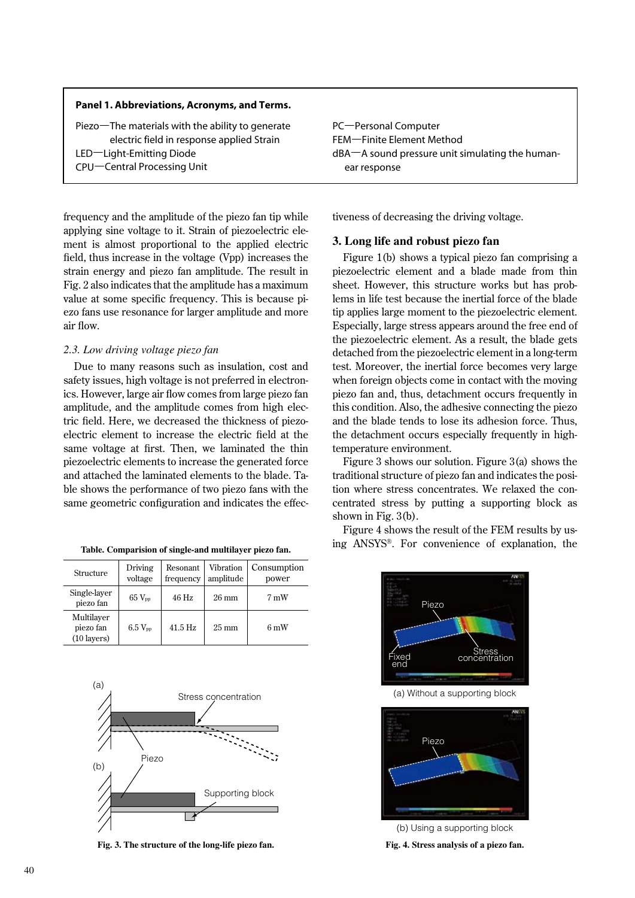## **Panel 1. Abbreviations, Acronyms, and Terms.**

frequency and the amplitude of the piezo fan tip while applying sine voltage to it. Strain of piezoelectric element is almost proportional to the applied electric field, thus increase in the voltage (Vpp) increases the strain energy and piezo fan amplitude. The result in Fig. 2 also indicates that the amplitude has a maximum value at some specific frequency. This is because piezo fans use resonance for larger amplitude and more air flow.

#### *2.3. Low driving voltage piezo fan*

Due to many reasons such as insulation, cost and safety issues, high voltage is not preferred in electronics. However, large air flow comes from large piezo fan amplitude, and the amplitude comes from high electric field. Here, we decreased the thickness of piezoelectric element to increase the electric field at the same voltage at first. Then, we laminated the thin piezoelectric elements to increase the generated force and attached the laminated elements to the blade. Table shows the performance of two piezo fans with the same geometric configuration and indicates the effec-

| Table. Comparision of single-and multilayer piezo fan. |  |  |  |  |  |
|--------------------------------------------------------|--|--|--|--|--|
|--------------------------------------------------------|--|--|--|--|--|

| Structure                                        | Driving<br>voltage | Resonant<br>frequency | Vibration<br>amplitude | Consumption<br>power |
|--------------------------------------------------|--------------------|-----------------------|------------------------|----------------------|
| Single-layer<br>piezo fan                        | $65 V_{\text{pp}}$ | $46$ Hz               | $26 \text{ mm}$        | 7 mW                 |
| Multilayer<br>piezo fan<br>$(10 \text{ layers})$ | $6.5 V_{pp}$       | $41.5$ Hz             | $25 \text{ mm}$        | $6 \text{ mW}$       |



**Fig. 3. The structure of the long-life piezo fan.**

PC–Personal Computer FEM–Finite Element Method dBA–A sound pressure unit simulating the humanear response

tiveness of decreasing the driving voltage.

## **3. Long life and robust piezo fan**

Figure 1(b) shows a typical piezo fan comprising a piezoelectric element and a blade made from thin sheet. However, this structure works but has problems in life test because the inertial force of the blade tip applies large moment to the piezoelectric element. Especially, large stress appears around the free end of the piezoelectric element. As a result, the blade gets detached from the piezoelectric element in a long-term test. Moreover, the inertial force becomes very large when foreign objects come in contact with the moving piezo fan and, thus, detachment occurs frequently in this condition. Also, the adhesive connecting the piezo and the blade tends to lose its adhesion force. Thus, the detachment occurs especially frequently in hightemperature environment.

Figure 3 shows our solution. Figure 3(a) shows the traditional structure of piezo fan and indicates the position where stress concentrates. We relaxed the concentrated stress by putting a supporting block as shown in Fig. 3(b).

Figure 4 shows the result of the FEM results by using ANSYS®. For convenience of explanation, the **Table. Comparision of single-and multilayer piezo fan.**



(a) Without a supporting block



(b) Using a supporting block

**Fig. 4. Stress analysis of a piezo fan.**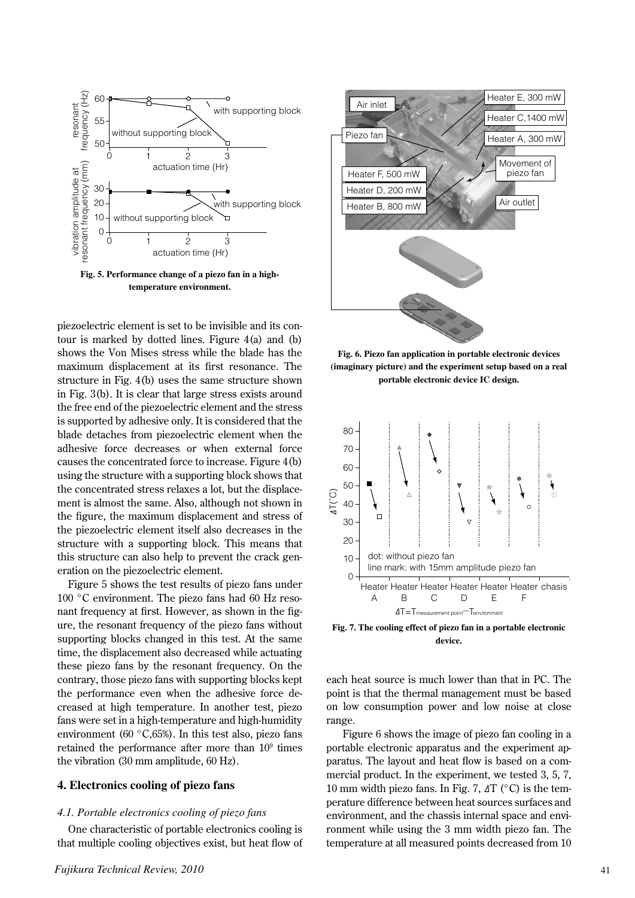

piezoelectric element is set to be invisible and its contour is marked by dotted lines. Figure 4(a) and (b) shows the Von Mises stress while the blade has the maximum displacement at its first resonance. The structure in Fig. 4(b) uses the same structure shown in Fig. 3(b). It is clear that large stress exists around the free end of the piezoelectric element and the stress is supported by adhesive only. It is considered that the blade detaches from piezoelectric element when the adhesive force decreases or when external force causes the concentrated force to increase. Figure 4(b) using the structure with a supporting block shows that the concentrated stress relaxes a lot, but the displacement is almost the same. Also, although not shown in the figure, the maximum displacement and stress of the piezoelectric element itself also decreases in the structure with a supporting block. This means that this structure can also help to prevent the crack generation on the piezoelectric element.

Figure 5 shows the test results of piezo fans under 100 °C environment. The piezo fans had 60 Hz resonant frequency at first. However, as shown in the figure, the resonant frequency of the piezo fans without supporting blocks changed in this test. At the same time, the displacement also decreased while actuating these piezo fans by the resonant frequency. On the contrary, those piezo fans with supporting blocks kept the performance even when the adhesive force decreased at high temperature. In another test, piezo fans were set in a high-temperature and high-humidity environment (60 °C,65%). In this test also, piezo fans retained the performance after more than  $10<sup>9</sup>$  times the vibration (30 mm amplitude, 60 Hz).

## **4. Electronics cooling of piezo fans**

#### *4.1. Portable electronics cooling of piezo fans*

One characteristic of portable electronics cooling is that multiple cooling objectives exist, but heat flow of



**Fig. 6. Piezo fan application in portable electronic devices (imaginary picture) and the experiment setup based on a real portable electronic device IC design.**



**Fig. 7. The cooling effect of piezo fan in a portable electronic device.**

each heat source is much lower than that in PC. The point is that the thermal management must be based on low consumption power and low noise at close range.

 Figure 6 shows the image of piezo fan cooling in a portable electronic apparatus and the experiment apparatus. The layout and heat flow is based on a commercial product. In the experiment, we tested 3, 5, 7, 10 mm width piezo fans. In Fig. 7,  $\Delta T$  (°C) is the temperature difference between heat sources surfaces and environment, and the chassis internal space and environment while using the 3 mm width piezo fan. The temperature at all measured points decreased from 10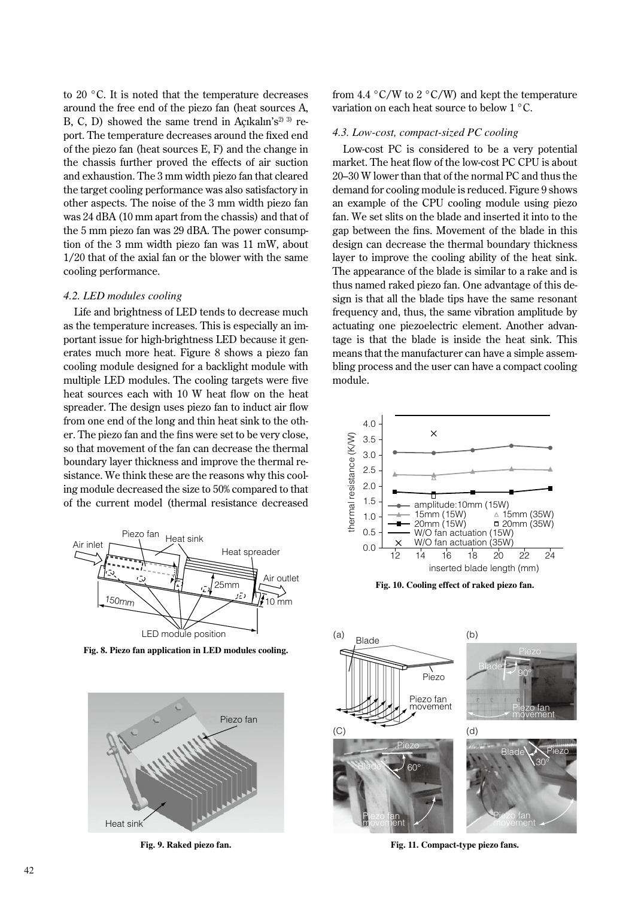to 20 °C. It is noted that the temperature decreases around the free end of the piezo fan (heat sources A, B, C, D) showed the same trend in Açıkalın's<sup>2) 3)</sup> report. The temperature decreases around the fixed end of the piezo fan (heat sources E, F) and the change in the chassis further proved the effects of air suction and exhaustion. The 3 mm width piezo fan that cleared the target cooling performance was also satisfactory in other aspects. The noise of the 3 mm width piezo fan was 24 dBA (10 mm apart from the chassis) and that of the 5 mm piezo fan was 29 dBA. The power consumption of the 3 mm width piezo fan was 11 mW, about 1/20 that of the axial fan or the blower with the same cooling performance.

#### *4.2. LED modules cooling*

Life and brightness of LED tends to decrease much as the temperature increases. This is especially an important issue for high-brightness LED because it generates much more heat. Figure 8 shows a piezo fan cooling module designed for a backlight module with multiple LED modules. The cooling targets were five heat sources each with 10 W heat flow on the heat spreader. The design uses piezo fan to induct air flow from one end of the long and thin heat sink to the other. The piezo fan and the fins were set to be very close, so that movement of the fan can decrease the thermal boundary layer thickness and improve the thermal resistance. We think these are the reasons why this cooling module decreased the size to 50% compared to that of the current model (thermal resistance decreased



**Fig. 8. Piezo fan application in LED modules cooling.**



**Fig. 9. Raked piezo fan.**

from 4.4  $\degree$ C/W to 2  $\degree$ C/W) and kept the temperature variation on each heat source to below 1 °C.

#### *4.3. Low-cost, compact-sized PC cooling*

Low-cost PC is considered to be a very potential market. The heat flow of the low-cost PC CPU is about 20–30 W lower than that of the normal PC and thus the demand for cooling module is reduced. Figure 9 shows an example of the CPU cooling module using piezo fan. We set slits on the blade and inserted it into to the gap between the fins. Movement of the blade in this design can decrease the thermal boundary thickness layer to improve the cooling ability of the heat sink. The appearance of the blade is similar to a rake and is thus named raked piezo fan. One advantage of this design is that all the blade tips have the same resonant frequency and, thus, the same vibration amplitude by actuating one piezoelectric element. Another advantage is that the blade is inside the heat sink. This means that the manufacturer can have a simple assembling process and the user can have a compact cooling module.



**Fig. 10. Cooling effect of raked piezo fan.**



**Fig. 11. Compact-type piezo fans.**